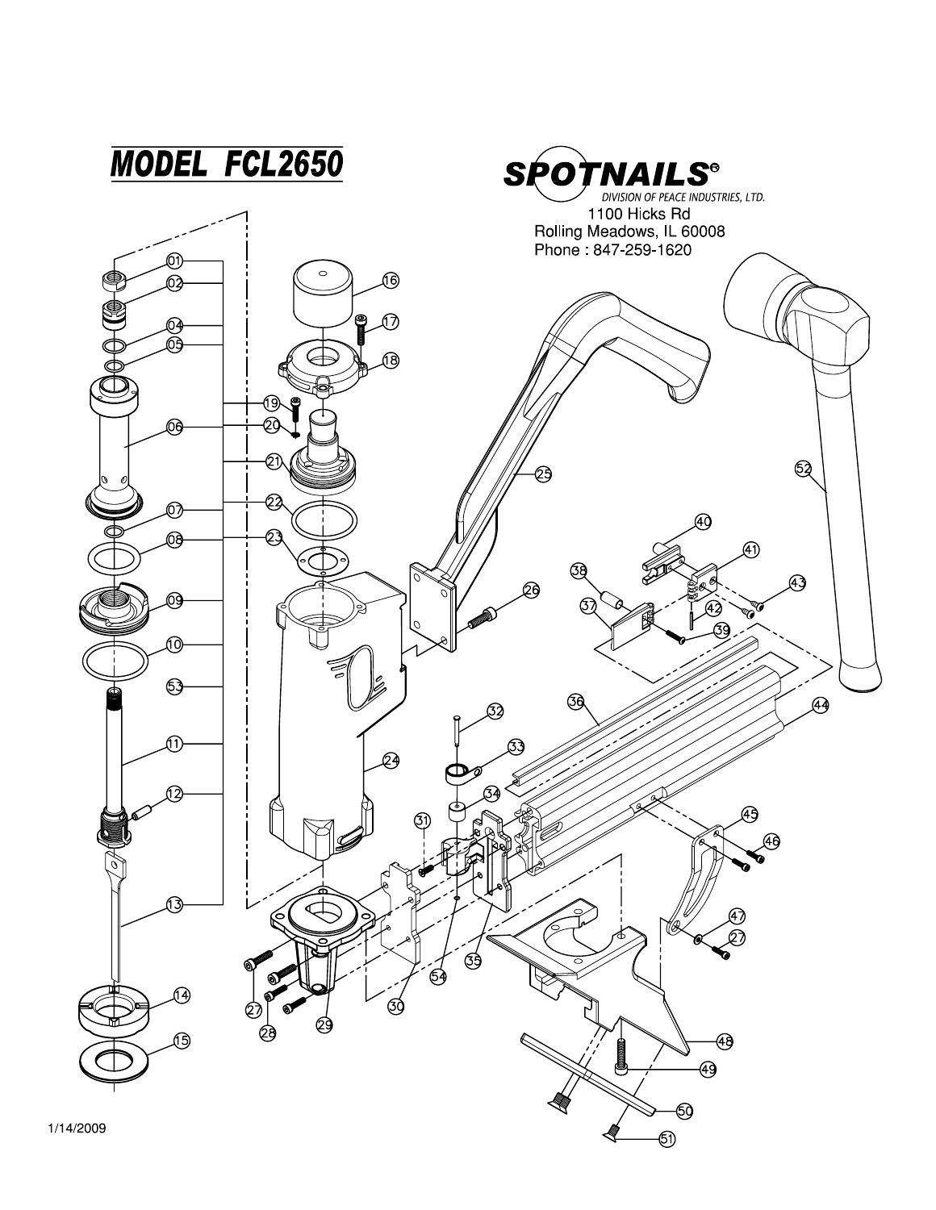